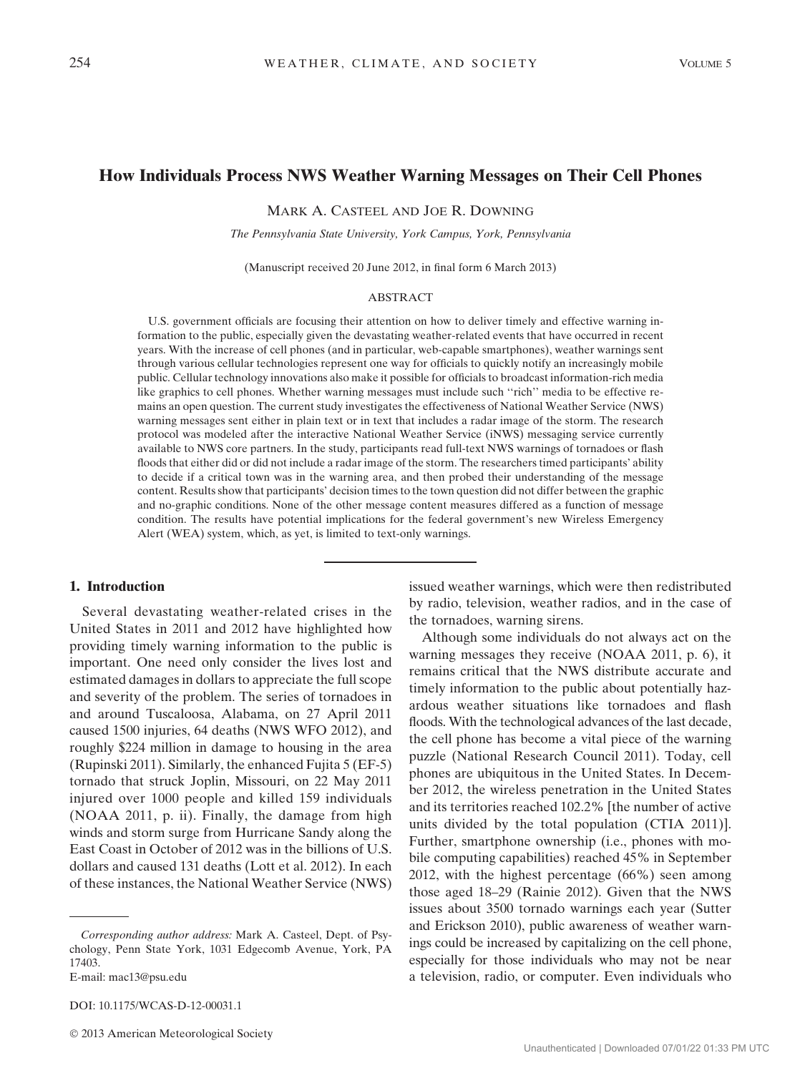# How Individuals Process NWS Weather Warning Messages on Their Cell Phones

MARK A. CASTEEL AND JOE R. DOWNING

The Pennsylvania State University, York Campus, York, Pennsylvania

(Manuscript received 20 June 2012, in final form 6 March 2013)

## ABSTRACT

U.S. government officials are focusing their attention on how to deliver timely and effective warning information to the public, especially given the devastating weather-related events that have occurred in recent years. With the increase of cell phones (and in particular, web-capable smartphones), weather warnings sent through various cellular technologies represent one way for officials to quickly notify an increasingly mobile public. Cellular technology innovations also make it possible for officials to broadcast information-rich media like graphics to cell phones. Whether warning messages must include such ''rich'' media to be effective remains an open question. The current study investigates the effectiveness of National Weather Service (NWS) warning messages sent either in plain text or in text that includes a radar image of the storm. The research protocol was modeled after the interactive National Weather Service (iNWS) messaging service currently available to NWS core partners. In the study, participants read full-text NWS warnings of tornadoes or flash floods that either did or did not include a radar image of the storm. The researchers timed participants' ability to decide if a critical town was in the warning area, and then probed their understanding of the message content. Results show that participants' decision times to the town question did not differ between the graphic and no-graphic conditions. None of the other message content measures differed as a function of message condition. The results have potential implications for the federal government's new Wireless Emergency Alert (WEA) system, which, as yet, is limited to text-only warnings.

#### 1. Introduction

Several devastating weather-related crises in the United States in 2011 and 2012 have highlighted how providing timely warning information to the public is important. One need only consider the lives lost and estimated damages in dollars to appreciate the full scope and severity of the problem. The series of tornadoes in and around Tuscaloosa, Alabama, on 27 April 2011 caused 1500 injuries, 64 deaths (NWS WFO 2012), and roughly \$224 million in damage to housing in the area (Rupinski 2011). Similarly, the enhanced Fujita 5 (EF-5) tornado that struck Joplin, Missouri, on 22 May 2011 injured over 1000 people and killed 159 individuals (NOAA 2011, p. ii). Finally, the damage from high winds and storm surge from Hurricane Sandy along the East Coast in October of 2012 was in the billions of U.S. dollars and caused 131 deaths (Lott et al. 2012). In each of these instances, the National Weather Service (NWS)

DOI: 10.1175/WCAS-D-12-00031.1

issued weather warnings, which were then redistributed by radio, television, weather radios, and in the case of the tornadoes, warning sirens.

Although some individuals do not always act on the warning messages they receive (NOAA 2011, p. 6), it remains critical that the NWS distribute accurate and timely information to the public about potentially hazardous weather situations like tornadoes and flash floods. With the technological advances of the last decade, the cell phone has become a vital piece of the warning puzzle (National Research Council 2011). Today, cell phones are ubiquitous in the United States. In December 2012, the wireless penetration in the United States and its territories reached 102.2% [the number of active units divided by the total population (CTIA 2011)]. Further, smartphone ownership (i.e., phones with mobile computing capabilities) reached 45% in September 2012, with the highest percentage (66%) seen among those aged 18–29 (Rainie 2012). Given that the NWS issues about 3500 tornado warnings each year (Sutter and Erickson 2010), public awareness of weather warnings could be increased by capitalizing on the cell phone, especially for those individuals who may not be near a television, radio, or computer. Even individuals who

Corresponding author address: Mark A. Casteel, Dept. of Psychology, Penn State York, 1031 Edgecomb Avenue, York, PA 17403.

E-mail: mac13@psu.edu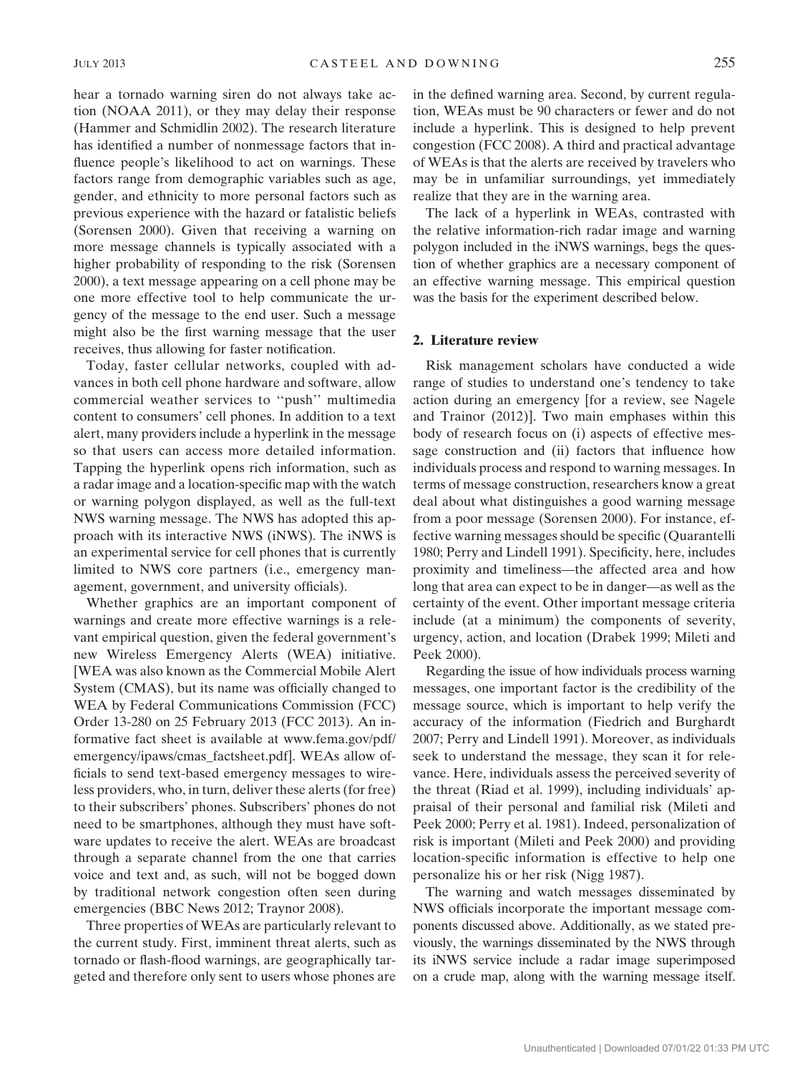hear a tornado warning siren do not always take action (NOAA 2011), or they may delay their response (Hammer and Schmidlin 2002). The research literature has identified a number of nonmessage factors that influence people's likelihood to act on warnings. These factors range from demographic variables such as age, gender, and ethnicity to more personal factors such as previous experience with the hazard or fatalistic beliefs (Sorensen 2000). Given that receiving a warning on more message channels is typically associated with a higher probability of responding to the risk (Sorensen 2000), a text message appearing on a cell phone may be one more effective tool to help communicate the urgency of the message to the end user. Such a message might also be the first warning message that the user receives, thus allowing for faster notification.

Today, faster cellular networks, coupled with advances in both cell phone hardware and software, allow commercial weather services to ''push'' multimedia content to consumers' cell phones. In addition to a text alert, many providers include a hyperlink in the message so that users can access more detailed information. Tapping the hyperlink opens rich information, such as a radar image and a location-specific map with the watch or warning polygon displayed, as well as the full-text NWS warning message. The NWS has adopted this approach with its interactive NWS (iNWS). The iNWS is an experimental service for cell phones that is currently limited to NWS core partners (i.e., emergency management, government, and university officials).

Whether graphics are an important component of warnings and create more effective warnings is a relevant empirical question, given the federal government's new Wireless Emergency Alerts (WEA) initiative. [WEA was also known as the Commercial Mobile Alert System (CMAS), but its name was officially changed to WEA by Federal Communications Commission (FCC) Order 13-280 on 25 February 2013 (FCC 2013). An informative fact sheet is available at www.fema.gov/pdf/ emergency/ipaws/cmas\_factsheet.pdf]. WEAs allow officials to send text-based emergency messages to wireless providers, who, in turn, deliver these alerts (for free) to their subscribers' phones. Subscribers' phones do not need to be smartphones, although they must have software updates to receive the alert. WEAs are broadcast through a separate channel from the one that carries voice and text and, as such, will not be bogged down by traditional network congestion often seen during emergencies (BBC News 2012; Traynor 2008).

Three properties of WEAs are particularly relevant to the current study. First, imminent threat alerts, such as tornado or flash-flood warnings, are geographically targeted and therefore only sent to users whose phones are in the defined warning area. Second, by current regulation, WEAs must be 90 characters or fewer and do not include a hyperlink. This is designed to help prevent congestion (FCC 2008). A third and practical advantage of WEAs is that the alerts are received by travelers who may be in unfamiliar surroundings, yet immediately realize that they are in the warning area.

The lack of a hyperlink in WEAs, contrasted with the relative information-rich radar image and warning polygon included in the iNWS warnings, begs the question of whether graphics are a necessary component of an effective warning message. This empirical question was the basis for the experiment described below.

#### 2. Literature review

Risk management scholars have conducted a wide range of studies to understand one's tendency to take action during an emergency [for a review, see Nagele and Trainor (2012)]. Two main emphases within this body of research focus on (i) aspects of effective message construction and (ii) factors that influence how individuals process and respond to warning messages. In terms of message construction, researchers know a great deal about what distinguishes a good warning message from a poor message (Sorensen 2000). For instance, effective warning messages should be specific (Quarantelli 1980; Perry and Lindell 1991). Specificity, here, includes proximity and timeliness—the affected area and how long that area can expect to be in danger—as well as the certainty of the event. Other important message criteria include (at a minimum) the components of severity, urgency, action, and location (Drabek 1999; Mileti and Peek 2000).

Regarding the issue of how individuals process warning messages, one important factor is the credibility of the message source, which is important to help verify the accuracy of the information (Fiedrich and Burghardt 2007; Perry and Lindell 1991). Moreover, as individuals seek to understand the message, they scan it for relevance. Here, individuals assess the perceived severity of the threat (Riad et al. 1999), including individuals' appraisal of their personal and familial risk (Mileti and Peek 2000; Perry et al. 1981). Indeed, personalization of risk is important (Mileti and Peek 2000) and providing location-specific information is effective to help one personalize his or her risk (Nigg 1987).

The warning and watch messages disseminated by NWS officials incorporate the important message components discussed above. Additionally, as we stated previously, the warnings disseminated by the NWS through its iNWS service include a radar image superimposed on a crude map, along with the warning message itself.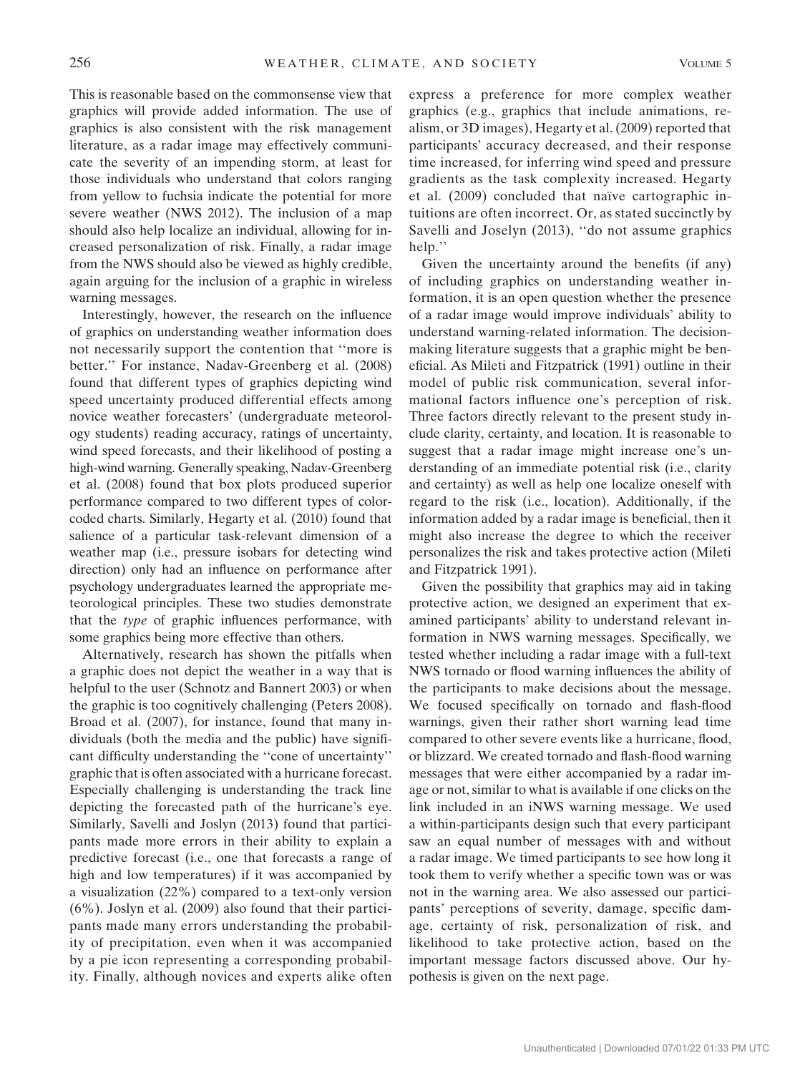This is reasonable based on the commonsense view that graphics will provide added information. The use of graphics is also consistent with the risk management literature, as a radar image may effectively communicate the severity of an impending storm, at least for those individuals who understand that colors ranging from yellow to fuchsia indicate the potential for more severe weather (NWS 2012). The inclusion of a map should also help localize an individual, allowing for increased personalization of risk. Finally, a radar image from the NWS should also be viewed as highly credible, again arguing for the inclusion of a graphic in wireless warning messages.

Interestingly, however, the research on the influence of graphics on understanding weather information does not necessarily support the contention that ''more is better.'' For instance, Nadav-Greenberg et al. (2008) found that different types of graphics depicting wind speed uncertainty produced differential effects among novice weather forecasters' (undergraduate meteorology students) reading accuracy, ratings of uncertainty, wind speed forecasts, and their likelihood of posting a high-wind warning. Generally speaking, Nadav-Greenberg et al. (2008) found that box plots produced superior performance compared to two different types of colorcoded charts. Similarly, Hegarty et al. (2010) found that salience of a particular task-relevant dimension of a weather map (i.e., pressure isobars for detecting wind direction) only had an influence on performance after psychology undergraduates learned the appropriate meteorological principles. These two studies demonstrate that the type of graphic influences performance, with some graphics being more effective than others.

Alternatively, research has shown the pitfalls when a graphic does not depict the weather in a way that is helpful to the user (Schnotz and Bannert 2003) or when the graphic is too cognitively challenging (Peters 2008). Broad et al. (2007), for instance, found that many individuals (both the media and the public) have significant difficulty understanding the ''cone of uncertainty'' graphic that is often associated with a hurricane forecast. Especially challenging is understanding the track line depicting the forecasted path of the hurricane's eye. Similarly, Savelli and Joslyn (2013) found that participants made more errors in their ability to explain a predictive forecast (i.e., one that forecasts a range of high and low temperatures) if it was accompanied by a visualization (22%) compared to a text-only version (6%). Joslyn et al. (2009) also found that their participants made many errors understanding the probability of precipitation, even when it was accompanied by a pie icon representing a corresponding probability. Finally, although novices and experts alike often express a preference for more complex weather graphics (e.g., graphics that include animations, realism, or 3D images), Hegarty et al. (2009) reported that participants' accuracy decreased, and their response time increased, for inferring wind speed and pressure gradients as the task complexity increased. Hegarty et al. (2009) concluded that naïve cartographic intuitions are often incorrect. Or, as stated succinctly by Savelli and Joselyn (2013), ''do not assume graphics help."

Given the uncertainty around the benefits (if any) of including graphics on understanding weather information, it is an open question whether the presence of a radar image would improve individuals' ability to understand warning-related information. The decisionmaking literature suggests that a graphic might be beneficial. As Mileti and Fitzpatrick (1991) outline in their model of public risk communication, several informational factors influence one's perception of risk. Three factors directly relevant to the present study include clarity, certainty, and location. It is reasonable to suggest that a radar image might increase one's understanding of an immediate potential risk (i.e., clarity and certainty) as well as help one localize oneself with regard to the risk (i.e., location). Additionally, if the information added by a radar image is beneficial, then it might also increase the degree to which the receiver personalizes the risk and takes protective action (Mileti and Fitzpatrick 1991).

Given the possibility that graphics may aid in taking protective action, we designed an experiment that examined participants' ability to understand relevant information in NWS warning messages. Specifically, we tested whether including a radar image with a full-text NWS tornado or flood warning influences the ability of the participants to make decisions about the message. We focused specifically on tornado and flash-flood warnings, given their rather short warning lead time compared to other severe events like a hurricane, flood, or blizzard. We created tornado and flash-flood warning messages that were either accompanied by a radar image or not, similar to what is available if one clicks on the link included in an iNWS warning message. We used a within-participants design such that every participant saw an equal number of messages with and without a radar image. We timed participants to see how long it took them to verify whether a specific town was or was not in the warning area. We also assessed our participants' perceptions of severity, damage, specific damage, certainty of risk, personalization of risk, and likelihood to take protective action, based on the important message factors discussed above. Our hypothesis is given on the next page.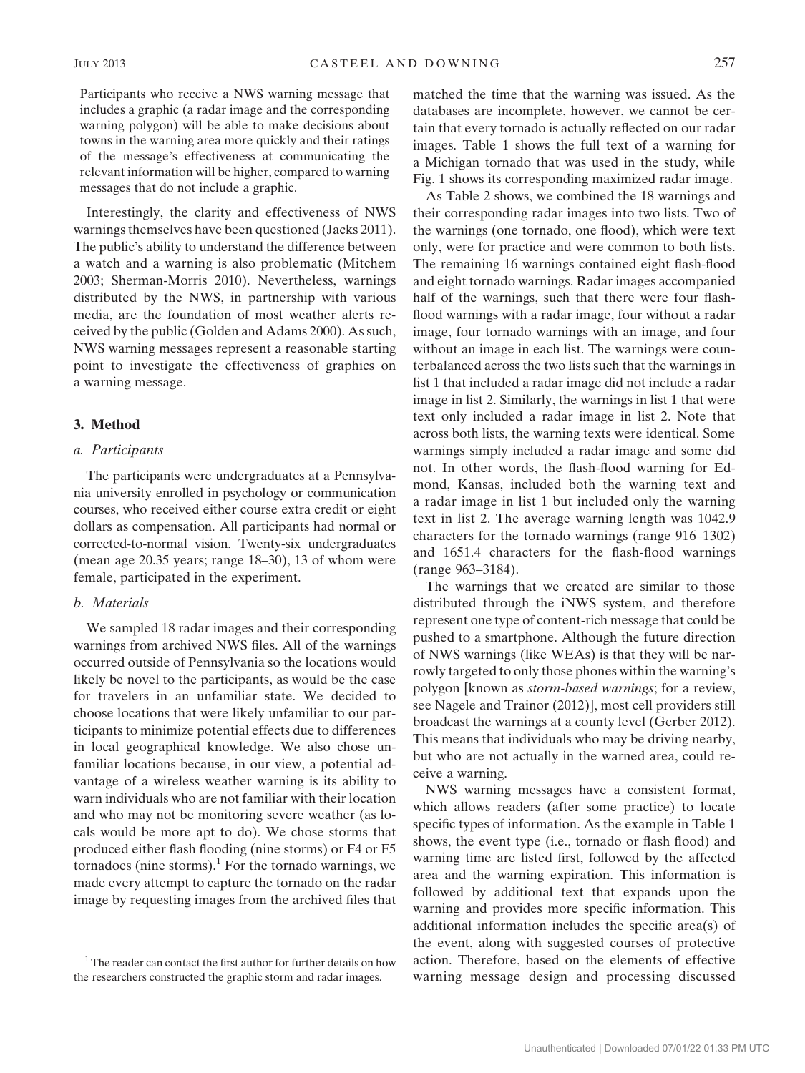Participants who receive a NWS warning message that includes a graphic (a radar image and the corresponding warning polygon) will be able to make decisions about towns in the warning area more quickly and their ratings of the message's effectiveness at communicating the relevant information will be higher, compared to warning messages that do not include a graphic.

Interestingly, the clarity and effectiveness of NWS warnings themselves have been questioned (Jacks 2011). The public's ability to understand the difference between a watch and a warning is also problematic (Mitchem 2003; Sherman-Morris 2010). Nevertheless, warnings distributed by the NWS, in partnership with various media, are the foundation of most weather alerts received by the public (Golden and Adams 2000). As such, NWS warning messages represent a reasonable starting point to investigate the effectiveness of graphics on a warning message.

## 3. Method

## a. Participants

The participants were undergraduates at a Pennsylvania university enrolled in psychology or communication courses, who received either course extra credit or eight dollars as compensation. All participants had normal or corrected-to-normal vision. Twenty-six undergraduates (mean age 20.35 years; range 18–30), 13 of whom were female, participated in the experiment.

### b. Materials

We sampled 18 radar images and their corresponding warnings from archived NWS files. All of the warnings occurred outside of Pennsylvania so the locations would likely be novel to the participants, as would be the case for travelers in an unfamiliar state. We decided to choose locations that were likely unfamiliar to our participants to minimize potential effects due to differences in local geographical knowledge. We also chose unfamiliar locations because, in our view, a potential advantage of a wireless weather warning is its ability to warn individuals who are not familiar with their location and who may not be monitoring severe weather (as locals would be more apt to do). We chose storms that produced either flash flooding (nine storms) or F4 or F5 tornadoes (nine storms). $<sup>1</sup>$  For the tornado warnings, we</sup> made every attempt to capture the tornado on the radar image by requesting images from the archived files that matched the time that the warning was issued. As the databases are incomplete, however, we cannot be certain that every tornado is actually reflected on our radar images. Table 1 shows the full text of a warning for a Michigan tornado that was used in the study, while Fig. 1 shows its corresponding maximized radar image.

As Table 2 shows, we combined the 18 warnings and their corresponding radar images into two lists. Two of the warnings (one tornado, one flood), which were text only, were for practice and were common to both lists. The remaining 16 warnings contained eight flash-flood and eight tornado warnings. Radar images accompanied half of the warnings, such that there were four flashflood warnings with a radar image, four without a radar image, four tornado warnings with an image, and four without an image in each list. The warnings were counterbalanced across the two lists such that the warnings in list 1 that included a radar image did not include a radar image in list 2. Similarly, the warnings in list 1 that were text only included a radar image in list 2. Note that across both lists, the warning texts were identical. Some warnings simply included a radar image and some did not. In other words, the flash-flood warning for Edmond, Kansas, included both the warning text and a radar image in list 1 but included only the warning text in list 2. The average warning length was 1042.9 characters for the tornado warnings (range 916–1302) and 1651.4 characters for the flash-flood warnings (range 963–3184).

The warnings that we created are similar to those distributed through the iNWS system, and therefore represent one type of content-rich message that could be pushed to a smartphone. Although the future direction of NWS warnings (like WEAs) is that they will be narrowly targeted to only those phones within the warning's polygon [known as *storm-based warnings*; for a review, see Nagele and Trainor (2012)], most cell providers still broadcast the warnings at a county level (Gerber 2012). This means that individuals who may be driving nearby, but who are not actually in the warned area, could receive a warning.

NWS warning messages have a consistent format, which allows readers (after some practice) to locate specific types of information. As the example in Table 1 shows, the event type (i.e., tornado or flash flood) and warning time are listed first, followed by the affected area and the warning expiration. This information is followed by additional text that expands upon the warning and provides more specific information. This additional information includes the specific area(s) of the event, along with suggested courses of protective action. Therefore, based on the elements of effective warning message design and processing discussed

 $1$ <sup>1</sup> The reader can contact the first author for further details on how the researchers constructed the graphic storm and radar images.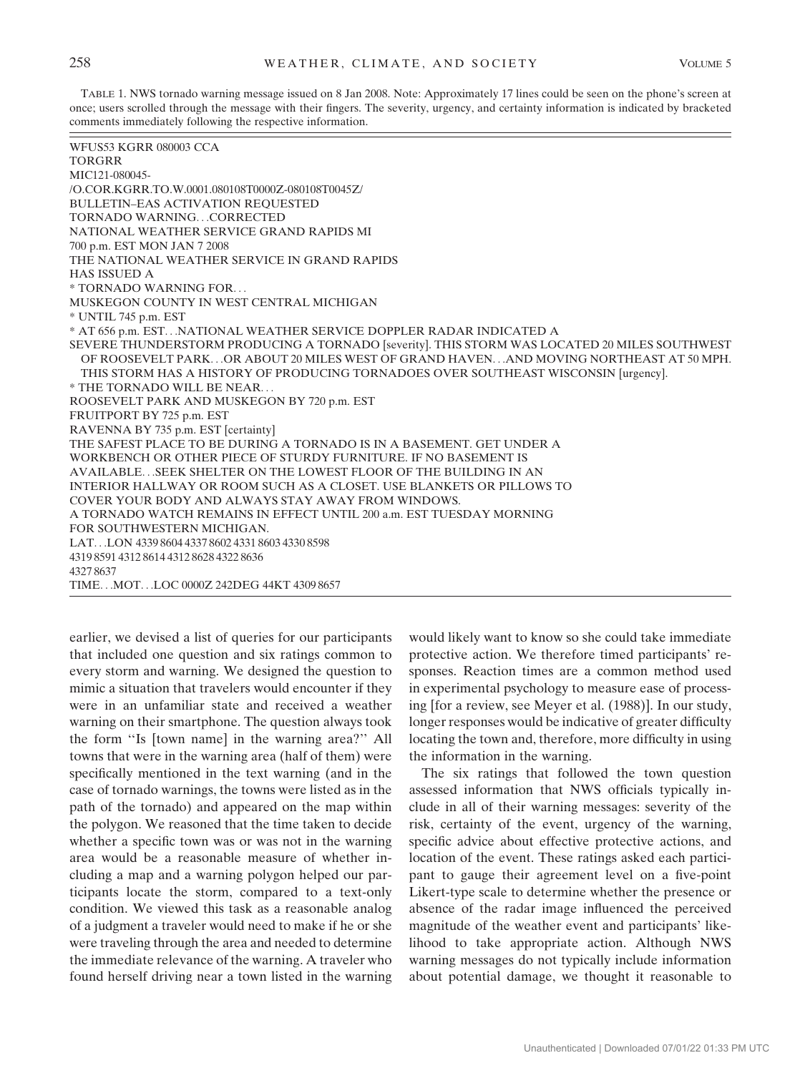TABLE 1. NWS tornado warning message issued on 8 Jan 2008. Note: Approximately 17 lines could be seen on the phone's screen at once; users scrolled through the message with their fingers. The severity, urgency, and certainty information is indicated by bracketed comments immediately following the respective information.

| <b>WFUS53 KGRR 080003 CCA</b>                                                                 |
|-----------------------------------------------------------------------------------------------|
| <b>TORGRR</b>                                                                                 |
| MIC121-080045-                                                                                |
| /O.COR.KGRR.TO.W.0001.080108T0000Z-080108T0045Z/                                              |
| <b>BULLETIN-EAS ACTIVATION REQUESTED</b>                                                      |
| TORNADO WARNINGCORRECTED                                                                      |
| NATIONAL WEATHER SERVICE GRAND RAPIDS MI                                                      |
| 700 p.m. EST MON JAN 7 2008                                                                   |
| THE NATIONAL WEATHER SERVICE IN GRAND RAPIDS                                                  |
| <b>HAS ISSUED A</b>                                                                           |
| * TORNADO WARNING FOR                                                                         |
| MUSKEGON COUNTY IN WEST CENTRAL MICHIGAN                                                      |
| * UNTIL 745 p.m. EST                                                                          |
| * AT 656 p.m. EST.NATIONAL WEATHER SERVICE DOPPLER RADAR INDICATED A                          |
| SEVERE THUNDERSTORM PRODUCING A TORNADO [severity]. THIS STORM WAS LOCATED 20 MILES SOUTHWEST |
| OF ROOSEVELT PARKOR ABOUT 20 MILES WEST OF GRAND HAVENAND MOVING NORTHEAST AT 50 MPH.         |
| THIS STORM HAS A HISTORY OF PRODUCING TORNADOES OVER SOUTHEAST WISCONSIN [urgency].           |
| * THE TORNADO WILL BE NEAR                                                                    |
| ROOSEVELT PARK AND MUSKEGON BY 720 p.m. EST                                                   |
| FRUITPORT BY 725 p.m. EST                                                                     |
| RAVENNA BY 735 p.m. EST [certainty]                                                           |
| THE SAFEST PLACE TO BE DURING A TORNADO IS IN A BASEMENT. GET UNDER A                         |
| WORKBENCH OR OTHER PIECE OF STURDY FURNITURE. IF NO BASEMENT IS                               |
| AVAILABLESEEK SHELTER ON THE LOWEST FLOOR OF THE BUILDING IN AN                               |
| INTERIOR HALLWAY OR ROOM SUCH AS A CLOSET. USE BLANKETS OR PILLOWS TO                         |
| COVER YOUR BODY AND ALWAYS STAY AWAY FROM WINDOWS.                                            |
| A TORNADO WATCH REMAINS IN EFFECT UNTIL 200 a.m. EST TUESDAY MORNING                          |
| FOR SOUTHWESTERN MICHIGAN.                                                                    |
| LAT. LON 4339 8604 4337 8602 4331 8603 4330 8598                                              |
| 4319 8591 4312 8614 4312 8628 4322 8636                                                       |
| 43278637                                                                                      |
| TIMEMOTLOC 0000Z 242DEG 44KT 4309 8657                                                        |

earlier, we devised a list of queries for our participants that included one question and six ratings common to every storm and warning. We designed the question to mimic a situation that travelers would encounter if they were in an unfamiliar state and received a weather warning on their smartphone. The question always took the form ''Is [town name] in the warning area?'' All towns that were in the warning area (half of them) were specifically mentioned in the text warning (and in the case of tornado warnings, the towns were listed as in the path of the tornado) and appeared on the map within the polygon. We reasoned that the time taken to decide whether a specific town was or was not in the warning area would be a reasonable measure of whether including a map and a warning polygon helped our participants locate the storm, compared to a text-only condition. We viewed this task as a reasonable analog of a judgment a traveler would need to make if he or she were traveling through the area and needed to determine the immediate relevance of the warning. A traveler who found herself driving near a town listed in the warning

would likely want to know so she could take immediate protective action. We therefore timed participants' responses. Reaction times are a common method used in experimental psychology to measure ease of processing [for a review, see Meyer et al. (1988)]. In our study, longer responses would be indicative of greater difficulty locating the town and, therefore, more difficulty in using the information in the warning.

The six ratings that followed the town question assessed information that NWS officials typically include in all of their warning messages: severity of the risk, certainty of the event, urgency of the warning, specific advice about effective protective actions, and location of the event. These ratings asked each participant to gauge their agreement level on a five-point Likert-type scale to determine whether the presence or absence of the radar image influenced the perceived magnitude of the weather event and participants' likelihood to take appropriate action. Although NWS warning messages do not typically include information about potential damage, we thought it reasonable to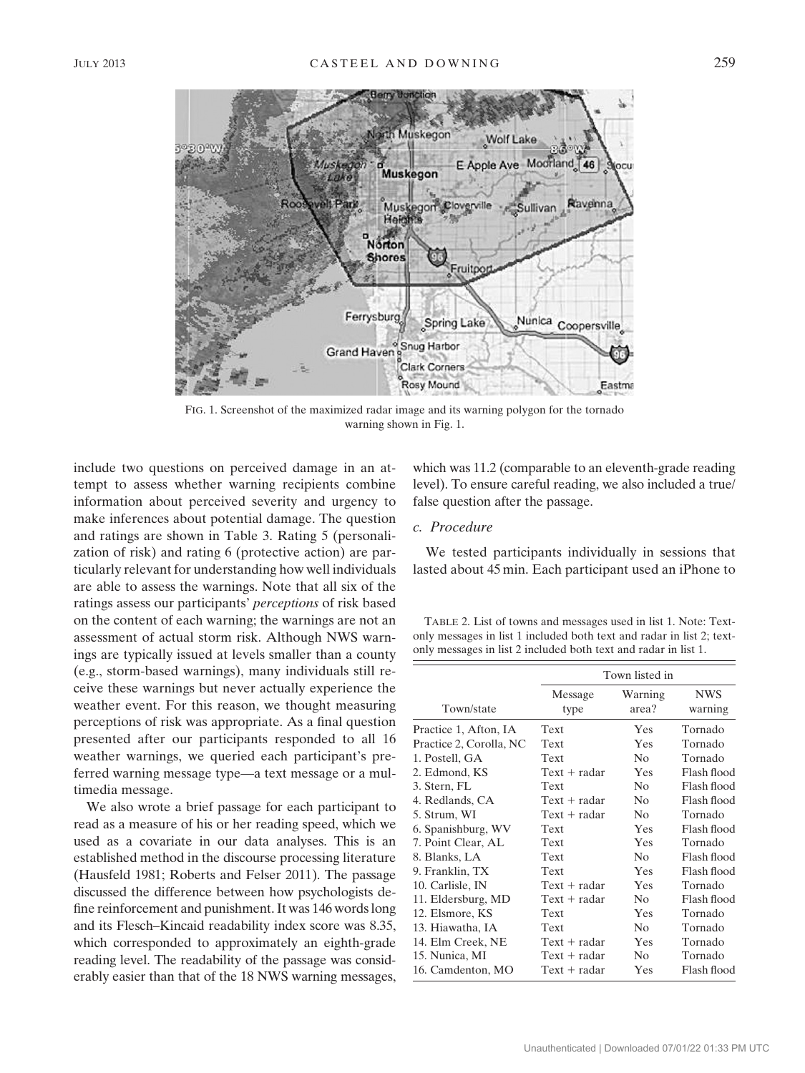

FIG. 1. Screenshot of the maximized radar image and its warning polygon for the tornado warning shown in Fig. 1.

include two questions on perceived damage in an attempt to assess whether warning recipients combine information about perceived severity and urgency to make inferences about potential damage. The question and ratings are shown in Table 3. Rating 5 (personalization of risk) and rating 6 (protective action) are particularly relevant for understanding how well individuals are able to assess the warnings. Note that all six of the ratings assess our participants' perceptions of risk based on the content of each warning; the warnings are not an assessment of actual storm risk. Although NWS warnings are typically issued at levels smaller than a county (e.g., storm-based warnings), many individuals still receive these warnings but never actually experience the weather event. For this reason, we thought measuring perceptions of risk was appropriate. As a final question presented after our participants responded to all 16 weather warnings, we queried each participant's preferred warning message type—a text message or a multimedia message.

We also wrote a brief passage for each participant to read as a measure of his or her reading speed, which we used as a covariate in our data analyses. This is an established method in the discourse processing literature (Hausfeld 1981; Roberts and Felser 2011). The passage discussed the difference between how psychologists define reinforcement and punishment. It was 146 words long and its Flesch–Kincaid readability index score was 8.35, which corresponded to approximately an eighth-grade reading level. The readability of the passage was considerably easier than that of the 18 NWS warning messages,

which was 11.2 (comparable to an eleventh-grade reading level). To ensure careful reading, we also included a true/ false question after the passage.

# c. Procedure

We tested participants individually in sessions that lasted about 45 min. Each participant used an iPhone to

TABLE 2. List of towns and messages used in list 1. Note: Textonly messages in list 1 included both text and radar in list 2; textonly messages in list 2 included both text and radar in list 1.

|                         | Town listed in  |                  |                       |  |  |  |
|-------------------------|-----------------|------------------|-----------------------|--|--|--|
| Town/state              | Message<br>type | Warning<br>area? | <b>NWS</b><br>warning |  |  |  |
| Practice 1, Afton, IA   | Text            | Yes              | Tornado               |  |  |  |
| Practice 2, Corolla, NC | Text            | Yes              | Tornado               |  |  |  |
| 1. Postell, GA          | Text            | No               | Tornado               |  |  |  |
| 2. Edmond, KS           | $Text + radar$  | Yes              | Flash flood           |  |  |  |
| 3. Stern, FL            | Text            | No               | Flash flood           |  |  |  |
| 4. Redlands, CA         | $Text + radar$  | N <sub>0</sub>   | Flash flood           |  |  |  |
| 5. Strum, WI            | $Text + radar$  | N <sub>0</sub>   | Tornado               |  |  |  |
| 6. Spanishburg, WV      | Text            | Yes              | Flash flood           |  |  |  |
| 7. Point Clear, AL      | Text            | Yes              | Tornado               |  |  |  |
| 8. Blanks, LA           | Text            | No               | Flash flood           |  |  |  |
| 9. Franklin, TX         | Text            | Yes              | Flash flood           |  |  |  |
| 10. Carlisle, IN        | $Text + radar$  | Yes              | Tornado               |  |  |  |
| 11. Eldersburg, MD      | $Text + radar$  | N <sub>0</sub>   | Flash flood           |  |  |  |
| 12. Elsmore, KS         | Text            | Yes              | Tornado               |  |  |  |
| 13. Hiawatha, IA        | Text            | N <sub>0</sub>   | Tornado               |  |  |  |
| 14. Elm Creek, NE       | $Text + radar$  | Yes              | Tornado               |  |  |  |
| 15. Nunica, MI          | $Text + radar$  | N <sub>0</sub>   | Tornado               |  |  |  |
| 16. Camdenton, MO       | $Text + radar$  | Yes              | Flash flood           |  |  |  |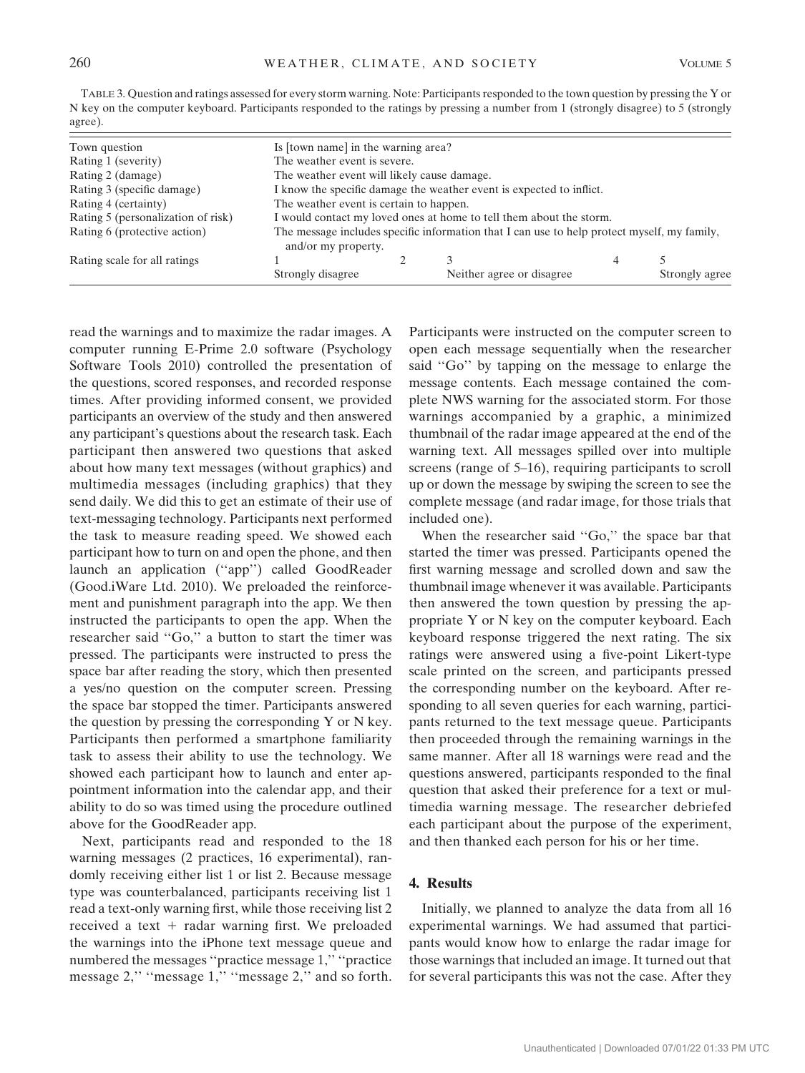| TABLE 3. Question and ratings assessed for every storm warning. Note: Participants responded to the town question by pressing the Y or |
|----------------------------------------------------------------------------------------------------------------------------------------|
| N key on the computer keyboard. Participants responded to the ratings by pressing a number from 1 (strongly disagree) to 5 (strongly   |
| agree).                                                                                                                                |

| Town question                      | Is [town name] in the warning area?                                                                                |  |                            |   |                |  |
|------------------------------------|--------------------------------------------------------------------------------------------------------------------|--|----------------------------|---|----------------|--|
| Rating 1 (severity)                | The weather event is severe.                                                                                       |  |                            |   |                |  |
| Rating 2 (damage)                  | The weather event will likely cause damage.                                                                        |  |                            |   |                |  |
| Rating 3 (specific damage)         | I know the specific damage the weather event is expected to inflict.                                               |  |                            |   |                |  |
| Rating 4 (certainty)               | The weather event is certain to happen.                                                                            |  |                            |   |                |  |
| Rating 5 (personalization of risk) | I would contact my loved ones at home to tell them about the storm.                                                |  |                            |   |                |  |
| Rating 6 (protective action)       | The message includes specific information that I can use to help protect myself, my family,<br>and/or my property. |  |                            |   |                |  |
| Rating scale for all ratings       |                                                                                                                    |  |                            | 4 |                |  |
|                                    | Strongly disagree                                                                                                  |  | Neither agree or disagree. |   | Strongly agree |  |

read the warnings and to maximize the radar images. A computer running E-Prime 2.0 software (Psychology Software Tools 2010) controlled the presentation of the questions, scored responses, and recorded response times. After providing informed consent, we provided participants an overview of the study and then answered any participant's questions about the research task. Each participant then answered two questions that asked about how many text messages (without graphics) and multimedia messages (including graphics) that they send daily. We did this to get an estimate of their use of text-messaging technology. Participants next performed the task to measure reading speed. We showed each participant how to turn on and open the phone, and then launch an application (''app'') called GoodReader (Good.iWare Ltd. 2010). We preloaded the reinforcement and punishment paragraph into the app. We then instructed the participants to open the app. When the researcher said ''Go,'' a button to start the timer was pressed. The participants were instructed to press the space bar after reading the story, which then presented a yes/no question on the computer screen. Pressing the space bar stopped the timer. Participants answered the question by pressing the corresponding Y or N key. Participants then performed a smartphone familiarity task to assess their ability to use the technology. We showed each participant how to launch and enter appointment information into the calendar app, and their ability to do so was timed using the procedure outlined above for the GoodReader app.

Next, participants read and responded to the 18 warning messages (2 practices, 16 experimental), randomly receiving either list 1 or list 2. Because message type was counterbalanced, participants receiving list 1 read a text-only warning first, while those receiving list 2 received a text  $+$  radar warning first. We preloaded the warnings into the iPhone text message queue and numbered the messages "practice message 1," "practice" message 2," "message 1," "message 2," and so forth.

Participants were instructed on the computer screen to open each message sequentially when the researcher said ''Go'' by tapping on the message to enlarge the message contents. Each message contained the complete NWS warning for the associated storm. For those warnings accompanied by a graphic, a minimized thumbnail of the radar image appeared at the end of the warning text. All messages spilled over into multiple screens (range of 5–16), requiring participants to scroll up or down the message by swiping the screen to see the complete message (and radar image, for those trials that included one).

When the researcher said "Go," the space bar that started the timer was pressed. Participants opened the first warning message and scrolled down and saw the thumbnail image whenever it was available. Participants then answered the town question by pressing the appropriate Y or N key on the computer keyboard. Each keyboard response triggered the next rating. The six ratings were answered using a five-point Likert-type scale printed on the screen, and participants pressed the corresponding number on the keyboard. After responding to all seven queries for each warning, participants returned to the text message queue. Participants then proceeded through the remaining warnings in the same manner. After all 18 warnings were read and the questions answered, participants responded to the final question that asked their preference for a text or multimedia warning message. The researcher debriefed each participant about the purpose of the experiment, and then thanked each person for his or her time.

# 4. Results

Initially, we planned to analyze the data from all 16 experimental warnings. We had assumed that participants would know how to enlarge the radar image for those warnings that included an image. It turned out that for several participants this was not the case. After they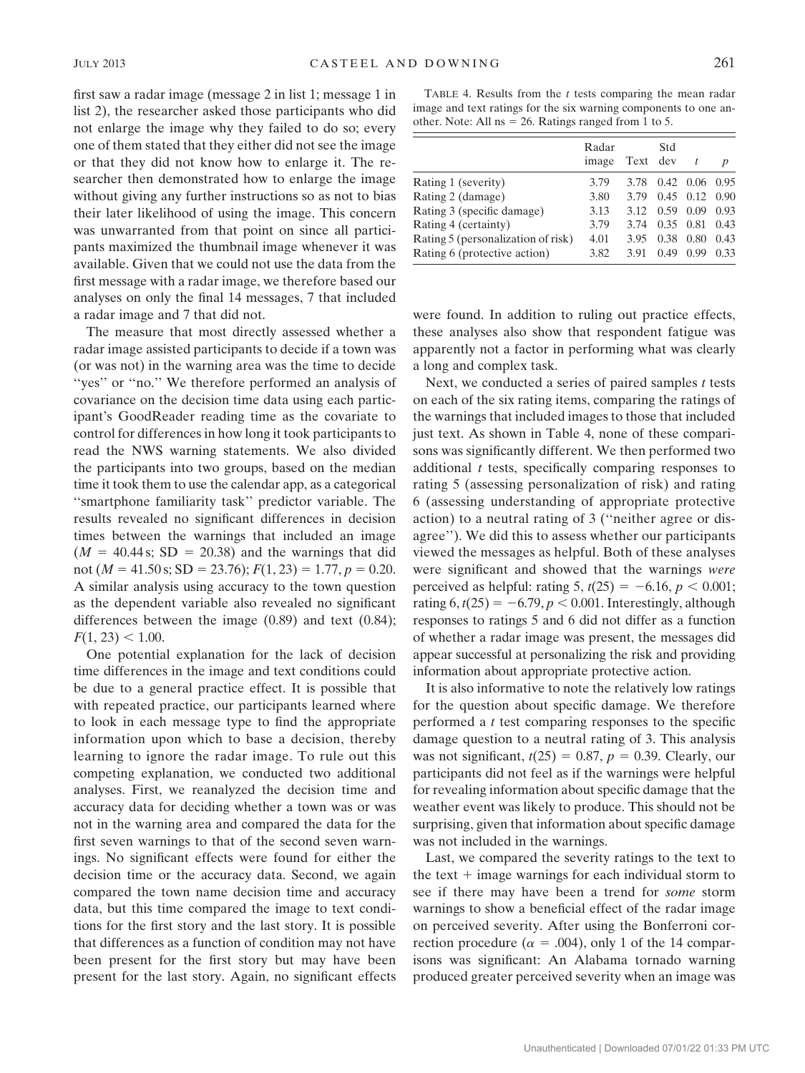first saw a radar image (message 2 in list 1; message 1 in list 2), the researcher asked those participants who did not enlarge the image why they failed to do so; every one of them stated that they either did not see the image or that they did not know how to enlarge it. The researcher then demonstrated how to enlarge the image without giving any further instructions so as not to bias their later likelihood of using the image. This concern was unwarranted from that point on since all participants maximized the thumbnail image whenever it was available. Given that we could not use the data from the first message with a radar image, we therefore based our analyses on only the final 14 messages, 7 that included a radar image and 7 that did not.

The measure that most directly assessed whether a radar image assisted participants to decide if a town was (or was not) in the warning area was the time to decide "yes" or "no." We therefore performed an analysis of covariance on the decision time data using each participant's GoodReader reading time as the covariate to control for differences in how long it took participants to read the NWS warning statements. We also divided the participants into two groups, based on the median time it took them to use the calendar app, as a categorical ''smartphone familiarity task'' predictor variable. The results revealed no significant differences in decision times between the warnings that included an image  $(M = 40.44 \text{ s}; SD = 20.38)$  and the warnings that did not ( $M = 41.50$  s; SD = 23.76);  $F(1, 23) = 1.77$ ,  $p = 0.20$ . A similar analysis using accuracy to the town question as the dependent variable also revealed no significant differences between the image (0.89) and text (0.84);  $F(1, 23) < 1.00$ .

One potential explanation for the lack of decision time differences in the image and text conditions could be due to a general practice effect. It is possible that with repeated practice, our participants learned where to look in each message type to find the appropriate information upon which to base a decision, thereby learning to ignore the radar image. To rule out this competing explanation, we conducted two additional analyses. First, we reanalyzed the decision time and accuracy data for deciding whether a town was or was not in the warning area and compared the data for the first seven warnings to that of the second seven warnings. No significant effects were found for either the decision time or the accuracy data. Second, we again compared the town name decision time and accuracy data, but this time compared the image to text conditions for the first story and the last story. It is possible that differences as a function of condition may not have been present for the first story but may have been present for the last story. Again, no significant effects

TABLE 4. Results from the  $t$  tests comparing the mean radar image and text ratings for the six warning components to one another. Note: All  $ns = 26$ . Ratings ranged from 1 to 5.

|                                    | Radar<br>image | Text | Std<br>dev |                   | $\boldsymbol{p}$ |
|------------------------------------|----------------|------|------------|-------------------|------------------|
| Rating 1 (severity)                | 3.79           | 3.78 |            | $0.42 \quad 0.06$ | 0.95             |
| Rating 2 (damage)                  | 3.80           | 3.79 | 0.45       | 0.12              | 0.90             |
| Rating 3 (specific damage)         | 3.13           | 3.12 | 0.59       | 0.09              | 0.93             |
| Rating 4 (certainty)               | 3.79           | 3.74 | 0.35       | 0.81              | 0.43             |
| Rating 5 (personalization of risk) | 4.01           | 3.95 | 0.38       | 0.80              | 0.43             |
| Rating 6 (protective action)       | 3.82           | 3.91 | 0.49       | 0.99              | 0.33             |

were found. In addition to ruling out practice effects, these analyses also show that respondent fatigue was apparently not a factor in performing what was clearly a long and complex task.

Next, we conducted a series of paired samples  $t$  tests on each of the six rating items, comparing the ratings of the warnings that included images to those that included just text. As shown in Table 4, none of these comparisons was significantly different. We then performed two additional  $t$  tests, specifically comparing responses to rating 5 (assessing personalization of risk) and rating 6 (assessing understanding of appropriate protective action) to a neutral rating of 3 (''neither agree or disagree''). We did this to assess whether our participants viewed the messages as helpful. Both of these analyses were significant and showed that the warnings were perceived as helpful: rating 5,  $t(25) = -6.16$ ,  $p < 0.001$ ; rating  $6, t(25) = -6.79, p < 0.001$ . Interestingly, although responses to ratings 5 and 6 did not differ as a function of whether a radar image was present, the messages did appear successful at personalizing the risk and providing information about appropriate protective action.

It is also informative to note the relatively low ratings for the question about specific damage. We therefore performed a t test comparing responses to the specific damage question to a neutral rating of 3. This analysis was not significant,  $t(25) = 0.87$ ,  $p = 0.39$ . Clearly, our participants did not feel as if the warnings were helpful for revealing information about specific damage that the weather event was likely to produce. This should not be surprising, given that information about specific damage was not included in the warnings.

Last, we compared the severity ratings to the text to the text  $+$  image warnings for each individual storm to see if there may have been a trend for *some* storm warnings to show a beneficial effect of the radar image on perceived severity. After using the Bonferroni correction procedure ( $\alpha = .004$ ), only 1 of the 14 comparisons was significant: An Alabama tornado warning produced greater perceived severity when an image was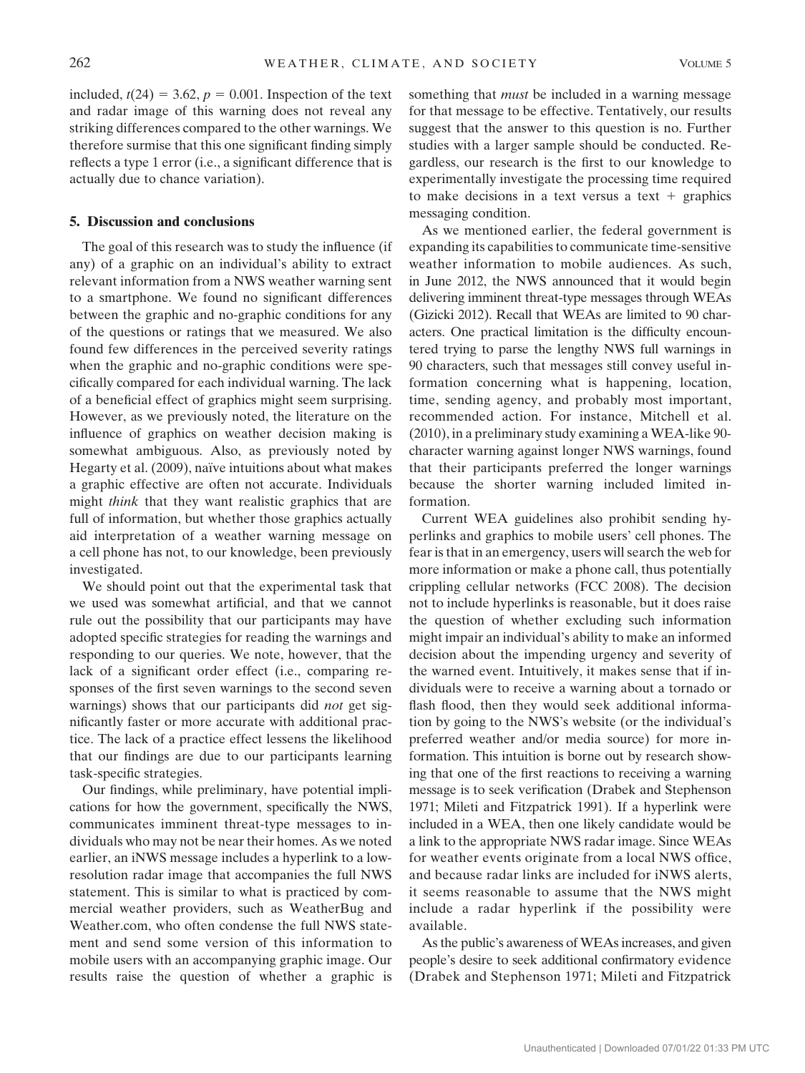included,  $t(24) = 3.62$ ,  $p = 0.001$ . Inspection of the text and radar image of this warning does not reveal any striking differences compared to the other warnings. We therefore surmise that this one significant finding simply reflects a type 1 error (i.e., a significant difference that is actually due to chance variation).

### 5. Discussion and conclusions

The goal of this research was to study the influence (if any) of a graphic on an individual's ability to extract relevant information from a NWS weather warning sent to a smartphone. We found no significant differences between the graphic and no-graphic conditions for any of the questions or ratings that we measured. We also found few differences in the perceived severity ratings when the graphic and no-graphic conditions were specifically compared for each individual warning. The lack of a beneficial effect of graphics might seem surprising. However, as we previously noted, the literature on the influence of graphics on weather decision making is somewhat ambiguous. Also, as previously noted by Hegarty et al. (2009), naïve intuitions about what makes a graphic effective are often not accurate. Individuals might *think* that they want realistic graphics that are full of information, but whether those graphics actually aid interpretation of a weather warning message on a cell phone has not, to our knowledge, been previously investigated.

We should point out that the experimental task that we used was somewhat artificial, and that we cannot rule out the possibility that our participants may have adopted specific strategies for reading the warnings and responding to our queries. We note, however, that the lack of a significant order effect (i.e., comparing responses of the first seven warnings to the second seven warnings) shows that our participants did not get significantly faster or more accurate with additional practice. The lack of a practice effect lessens the likelihood that our findings are due to our participants learning task-specific strategies.

Our findings, while preliminary, have potential implications for how the government, specifically the NWS, communicates imminent threat-type messages to individuals who may not be near their homes. As we noted earlier, an iNWS message includes a hyperlink to a lowresolution radar image that accompanies the full NWS statement. This is similar to what is practiced by commercial weather providers, such as WeatherBug and Weather.com, who often condense the full NWS statement and send some version of this information to mobile users with an accompanying graphic image. Our results raise the question of whether a graphic is something that *must* be included in a warning message for that message to be effective. Tentatively, our results suggest that the answer to this question is no. Further studies with a larger sample should be conducted. Regardless, our research is the first to our knowledge to experimentally investigate the processing time required to make decisions in a text versus a text  $+$  graphics messaging condition.

As we mentioned earlier, the federal government is expanding its capabilities to communicate time-sensitive weather information to mobile audiences. As such, in June 2012, the NWS announced that it would begin delivering imminent threat-type messages through WEAs (Gizicki 2012). Recall that WEAs are limited to 90 characters. One practical limitation is the difficulty encountered trying to parse the lengthy NWS full warnings in 90 characters, such that messages still convey useful information concerning what is happening, location, time, sending agency, and probably most important, recommended action. For instance, Mitchell et al. (2010), in a preliminary study examining a WEA-like 90 character warning against longer NWS warnings, found that their participants preferred the longer warnings because the shorter warning included limited information.

Current WEA guidelines also prohibit sending hyperlinks and graphics to mobile users' cell phones. The fear is that in an emergency, users will search the web for more information or make a phone call, thus potentially crippling cellular networks (FCC 2008). The decision not to include hyperlinks is reasonable, but it does raise the question of whether excluding such information might impair an individual's ability to make an informed decision about the impending urgency and severity of the warned event. Intuitively, it makes sense that if individuals were to receive a warning about a tornado or flash flood, then they would seek additional information by going to the NWS's website (or the individual's preferred weather and/or media source) for more information. This intuition is borne out by research showing that one of the first reactions to receiving a warning message is to seek verification (Drabek and Stephenson 1971; Mileti and Fitzpatrick 1991). If a hyperlink were included in a WEA, then one likely candidate would be a link to the appropriate NWS radar image. Since WEAs for weather events originate from a local NWS office, and because radar links are included for iNWS alerts, it seems reasonable to assume that the NWS might include a radar hyperlink if the possibility were available.

As the public's awareness of WEAs increases, and given people's desire to seek additional confirmatory evidence (Drabek and Stephenson 1971; Mileti and Fitzpatrick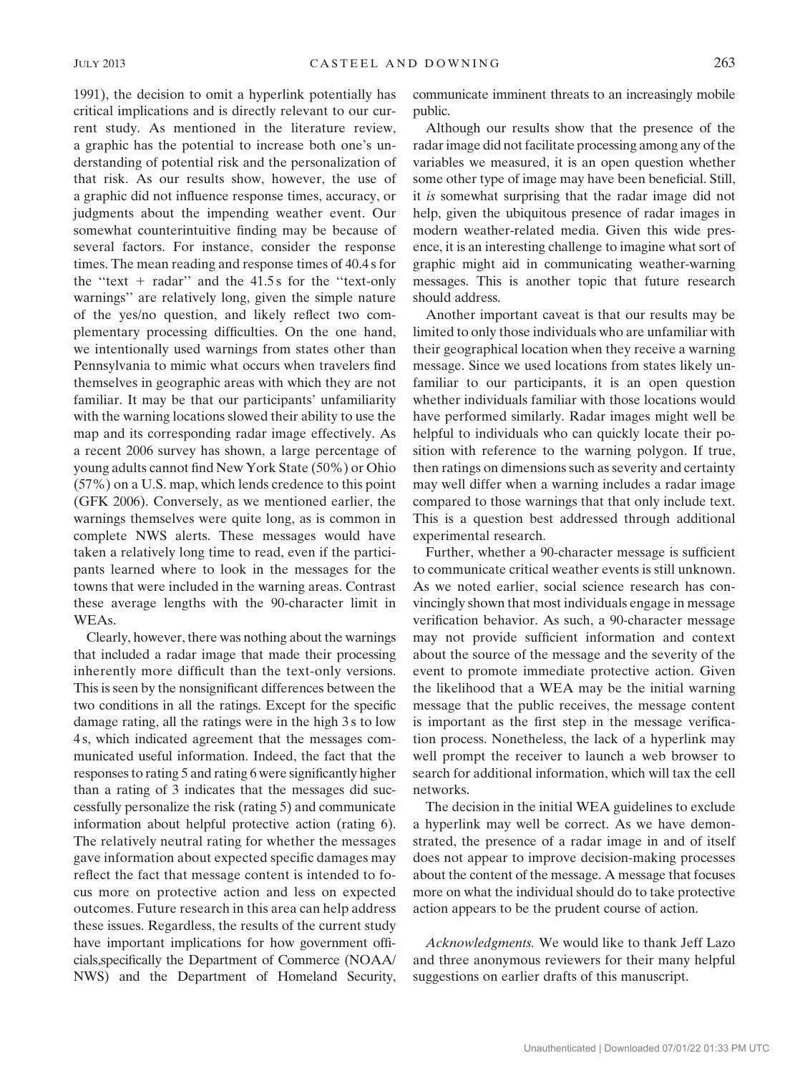1991), the decision to omit a hyperlink potentially has critical implications and is directly relevant to our current study. As mentioned in the literature review, a graphic has the potential to increase both one's understanding of potential risk and the personalization of that risk. As our results show, however, the use of a graphic did not influence response times, accuracy, or judgments about the impending weather event. Our somewhat counterintuitive finding may be because of several factors. For instance, consider the response times. The mean reading and response times of 40.4 s for the "text  $+$  radar" and the 41.5 s for the "text-only" warnings'' are relatively long, given the simple nature of the yes/no question, and likely reflect two complementary processing difficulties. On the one hand, we intentionally used warnings from states other than Pennsylvania to mimic what occurs when travelers find themselves in geographic areas with which they are not familiar. It may be that our participants' unfamiliarity with the warning locations slowed their ability to use the map and its corresponding radar image effectively. As a recent 2006 survey has shown, a large percentage of young adults cannot find New York State (50%) or Ohio (57%) on a U.S. map, which lends credence to this point (GFK 2006). Conversely, as we mentioned earlier, the warnings themselves were quite long, as is common in complete NWS alerts. These messages would have taken a relatively long time to read, even if the participants learned where to look in the messages for the towns that were included in the warning areas. Contrast these average lengths with the 90-character limit in WEAs.

Clearly, however, there was nothing about the warnings that included a radar image that made their processing inherently more difficult than the text-only versions. This is seen by the nonsignificant differences between the two conditions in all the ratings. Except for the specific damage rating, all the ratings were in the high 3 s to low 4 s, which indicated agreement that the messages communicated useful information. Indeed, the fact that the responses to rating 5 and rating 6 were significantly higher than a rating of 3 indicates that the messages did successfully personalize the risk (rating 5) and communicate information about helpful protective action (rating 6). The relatively neutral rating for whether the messages gave information about expected specific damages may reflect the fact that message content is intended to focus more on protective action and less on expected outcomes. Future research in this area can help address these issues. Regardless, the results of the current study have important implications for how government officials,specifically the Department of Commerce (NOAA/ NWS) and the Department of Homeland Security, communicate imminent threats to an increasingly mobile public.

Although our results show that the presence of the radar image did not facilitate processing among any of the variables we measured, it is an open question whether some other type of image may have been beneficial. Still, it is somewhat surprising that the radar image did not help, given the ubiquitous presence of radar images in modern weather-related media. Given this wide presence, it is an interesting challenge to imagine what sort of graphic might aid in communicating weather-warning messages. This is another topic that future research should address.

Another important caveat is that our results may be limited to only those individuals who are unfamiliar with their geographical location when they receive a warning message. Since we used locations from states likely unfamiliar to our participants, it is an open question whether individuals familiar with those locations would have performed similarly. Radar images might well be helpful to individuals who can quickly locate their position with reference to the warning polygon. If true, then ratings on dimensions such as severity and certainty may well differ when a warning includes a radar image compared to those warnings that that only include text. This is a question best addressed through additional experimental research.

Further, whether a 90-character message is sufficient to communicate critical weather events is still unknown. As we noted earlier, social science research has convincingly shown that most individuals engage in message verification behavior. As such, a 90-character message may not provide sufficient information and context about the source of the message and the severity of the event to promote immediate protective action. Given the likelihood that a WEA may be the initial warning message that the public receives, the message content is important as the first step in the message verification process. Nonetheless, the lack of a hyperlink may well prompt the receiver to launch a web browser to search for additional information, which will tax the cell networks.

The decision in the initial WEA guidelines to exclude a hyperlink may well be correct. As we have demonstrated, the presence of a radar image in and of itself does not appear to improve decision-making processes about the content of the message. A message that focuses more on what the individual should do to take protective action appears to be the prudent course of action.

Acknowledgments. We would like to thank Jeff Lazo and three anonymous reviewers for their many helpful suggestions on earlier drafts of this manuscript.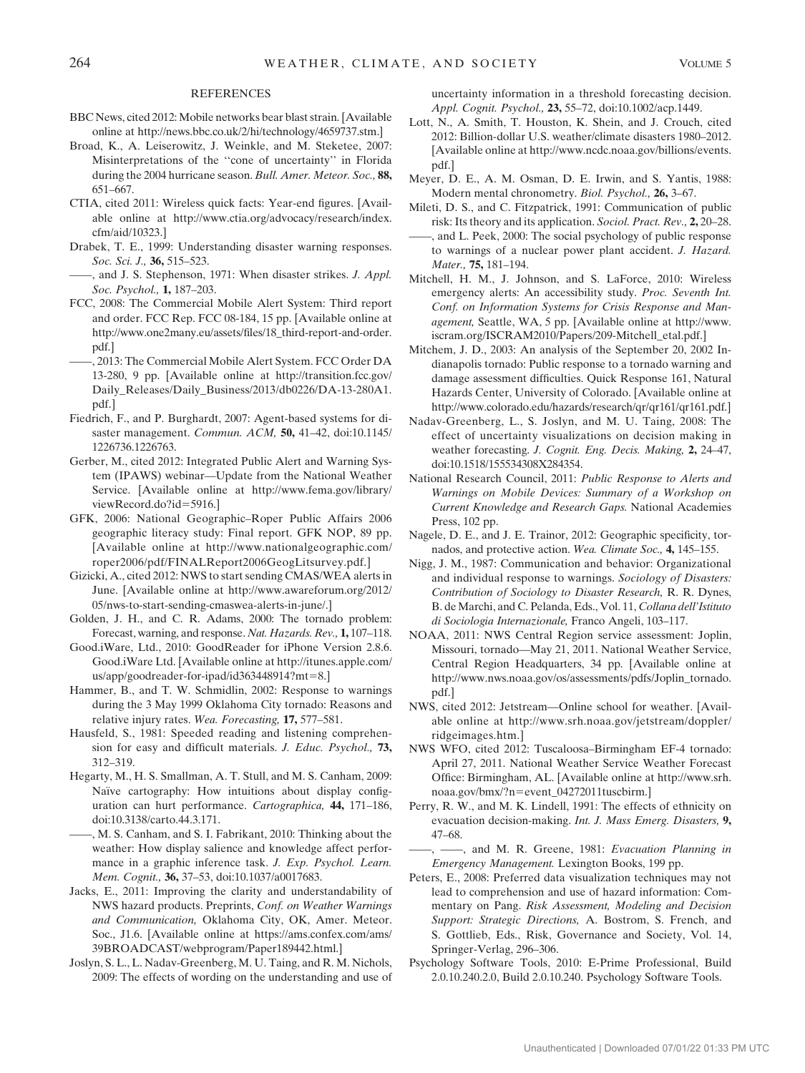#### REFERENCES

- BBC News, cited 2012: Mobile networks bear blast strain. [Available online at http://news.bbc.co.uk/2/hi/technology/4659737.stm.]
- Broad, K., A. Leiserowitz, J. Weinkle, and M. Steketee, 2007: Misinterpretations of the ''cone of uncertainty'' in Florida during the 2004 hurricane season. Bull. Amer. Meteor. Soc., 88, 651–667.
- CTIA, cited 2011: Wireless quick facts: Year-end figures. [Available online at http://www.ctia.org/advocacy/research/index. cfm/aid/10323.]
- Drabek, T. E., 1999: Understanding disaster warning responses. Soc. Sci. J., **36**, 515–523.
- -, and J. S. Stephenson, 1971: When disaster strikes. *J. Appl.* Soc. Psychol., 1, 187–203.
- FCC, 2008: The Commercial Mobile Alert System: Third report and order. FCC Rep. FCC 08-184, 15 pp. [Available online at http://www.one2many.eu/assets/files/18\_third-report-and-order. pdf.]
- ——, 2013: The Commercial Mobile Alert System. FCC Order DA 13-280, 9 pp. [Available online at http://transition.fcc.gov/ Daily\_Releases/Daily\_Business/2013/db0226/DA-13-280A1. pdf.]
- Fiedrich, F., and P. Burghardt, 2007: Agent-based systems for disaster management. Commun. ACM, 50, 41-42, doi:10.1145/ 1226736.1226763.
- Gerber, M., cited 2012: Integrated Public Alert and Warning System (IPAWS) webinar—Update from the National Weather Service. [Available online at http://www.fema.gov/library/ viewRecord.do?id=5916.]
- GFK, 2006: National Geographic–Roper Public Affairs 2006 geographic literacy study: Final report. GFK NOP, 89 pp. [Available online at http://www.nationalgeographic.com/ roper2006/pdf/FINALReport2006GeogLitsurvey.pdf.]
- Gizicki, A., cited 2012: NWS to start sending CMAS/WEA alerts in June. [Available online at http://www.awareforum.org/2012/ 05/nws-to-start-sending-cmaswea-alerts-in-june/.]
- Golden, J. H., and C. R. Adams, 2000: The tornado problem: Forecast, warning, and response. Nat. Hazards. Rev., 1, 107–118.
- Good.iWare, Ltd., 2010: GoodReader for iPhone Version 2.8.6. Good.iWare Ltd. [Available online at http://itunes.apple.com/  $us/app/goodreader-for-ipad/id363448914?mt=8.$ ]
- Hammer, B., and T. W. Schmidlin, 2002: Response to warnings during the 3 May 1999 Oklahoma City tornado: Reasons and relative injury rates. Wea. Forecasting, 17, 577–581.
- Hausfeld, S., 1981: Speeded reading and listening comprehension for easy and difficult materials. J. Educ. Psychol., 73, 312–319.
- Hegarty, M., H. S. Smallman, A. T. Stull, and M. S. Canham, 2009: Naïve cartography: How intuitions about display configuration can hurt performance. Cartographica, 44, 171–186, doi:10.3138/carto.44.3.171.
- ——, M. S. Canham, and S. I. Fabrikant, 2010: Thinking about the weather: How display salience and knowledge affect performance in a graphic inference task. J. Exp. Psychol. Learn. Mem. Cognit., 36, 37–53, doi:10.1037/a0017683.
- Jacks, E., 2011: Improving the clarity and understandability of NWS hazard products. Preprints, Conf. on Weather Warnings and Communication, Oklahoma City, OK, Amer. Meteor. Soc., J1.6. [Available online at https://ams.confex.com/ams/ 39BROADCAST/webprogram/Paper189442.html.]
- Joslyn, S. L., L. Nadav-Greenberg, M. U. Taing, and R. M. Nichols, 2009: The effects of wording on the understanding and use of

uncertainty information in a threshold forecasting decision. Appl. Cognit. Psychol., 23, 55–72, doi:10.1002/acp.1449.

- Lott, N., A. Smith, T. Houston, K. Shein, and J. Crouch, cited 2012: Billion-dollar U.S. weather/climate disasters 1980–2012. [Available online at http://www.ncdc.noaa.gov/billions/events. pdf.]
- Meyer, D. E., A. M. Osman, D. E. Irwin, and S. Yantis, 1988: Modern mental chronometry. Biol. Psychol., 26, 3–67.
- Mileti, D. S., and C. Fitzpatrick, 1991: Communication of public risk: Its theory and its application. Sociol. Pract. Rev., 2, 20–28.
- ——, and L. Peek, 2000: The social psychology of public response to warnings of a nuclear power plant accident. J. Hazard. Mater., 75, 181–194.
- Mitchell, H. M., J. Johnson, and S. LaForce, 2010: Wireless emergency alerts: An accessibility study. Proc. Seventh Int. Conf. on Information Systems for Crisis Response and Management, Seattle, WA, 5 pp. [Available online at http://www. iscram.org/ISCRAM2010/Papers/209-Mitchell\_etal.pdf.]
- Mitchem, J. D., 2003: An analysis of the September 20, 2002 Indianapolis tornado: Public response to a tornado warning and damage assessment difficulties. Quick Response 161, Natural Hazards Center, University of Colorado. [Available online at http://www.colorado.edu/hazards/research/qr/qr161/qr161.pdf.]
- Nadav-Greenberg, L., S. Joslyn, and M. U. Taing, 2008: The effect of uncertainty visualizations on decision making in weather forecasting. J. Cognit. Eng. Decis. Making, 2, 24–47, doi:10.1518/155534308X284354.
- National Research Council, 2011: Public Response to Alerts and Warnings on Mobile Devices: Summary of a Workshop on Current Knowledge and Research Gaps. National Academies Press, 102 pp.
- Nagele, D. E., and J. E. Trainor, 2012: Geographic specificity, tornados, and protective action. Wea. Climate Soc., 4, 145–155.
- Nigg, J. M., 1987: Communication and behavior: Organizational and individual response to warnings. Sociology of Disasters: Contribution of Sociology to Disaster Research, R. R. Dynes, B. de Marchi, and C. Pelanda, Eds., Vol. 11, Collana dell'Istituto di Sociologia Internazionale, Franco Angeli, 103–117.
- NOAA, 2011: NWS Central Region service assessment: Joplin, Missouri, tornado—May 21, 2011. National Weather Service, Central Region Headquarters, 34 pp. [Available online at http://www.nws.noaa.gov/os/assessments/pdfs/Joplin\_tornado. pdf.]
- NWS, cited 2012: Jetstream—Online school for weather. [Available online at http://www.srh.noaa.gov/jetstream/doppler/ ridgeimages.htm.]
- NWS WFO, cited 2012: Tuscaloosa–Birmingham EF-4 tornado: April 27, 2011. National Weather Service Weather Forecast Office: Birmingham, AL. [Available online at http://www.srh. noaa.gov/bmx/?n=event\_04272011tuscbirm.]
- Perry, R. W., and M. K. Lindell, 1991: The effects of ethnicity on evacuation decision-making. Int. J. Mass Emerg. Disasters, 9, 47–68.
- $-$ , and M. R. Greene, 1981: Evacuation Planning in Emergency Management. Lexington Books, 199 pp.
- Peters, E., 2008: Preferred data visualization techniques may not lead to comprehension and use of hazard information: Commentary on Pang. Risk Assessment, Modeling and Decision Support: Strategic Directions, A. Bostrom, S. French, and S. Gottlieb, Eds., Risk, Governance and Society, Vol. 14, Springer-Verlag, 296–306.
- Psychology Software Tools, 2010: E-Prime Professional, Build 2.0.10.240.2.0, Build 2.0.10.240. Psychology Software Tools.